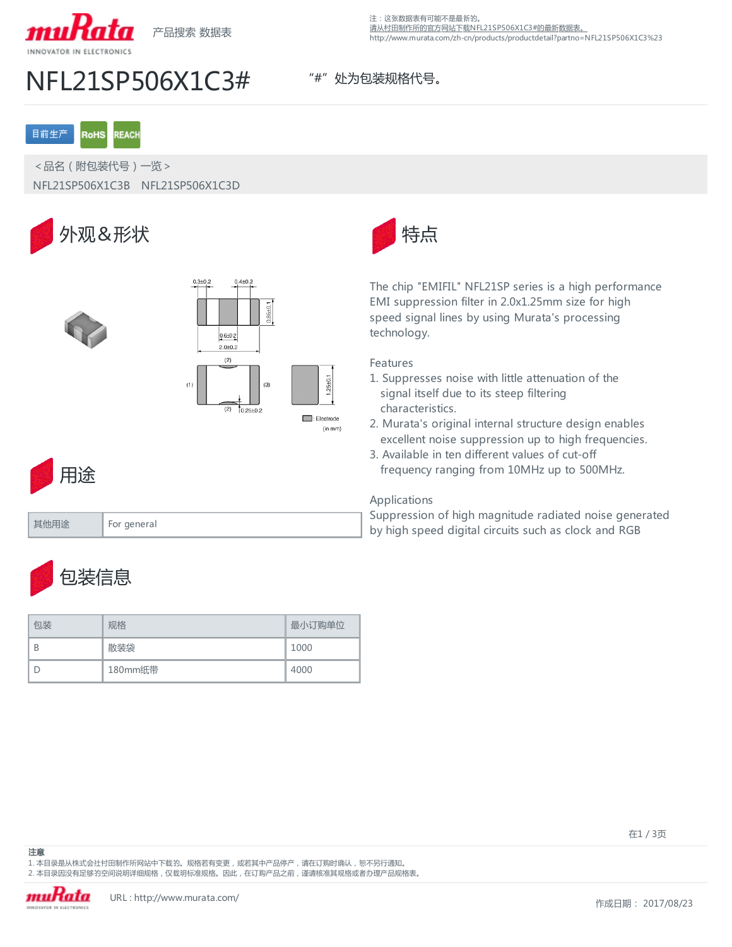

## NFL21SP506X1C3# "#" 处为包装规格代号。

### 注:这张数据表有可能不是最新的。 [请从村田制作所的官方网站下载NFL21SP506X1C3#的最新数据表。](http://www.murata.com/zh-cn/products/productdetail?partno=NFL21SP506X1C3%23) http://www.murata.com/zh-cn/products/productdetail?partno=NFL21SP506X1C3%23

### 目前生产 **RoHS REACH**

<品名(附包装代号)一览> NFL21SP506X1C3B NFL21SP506X1C3D







The chip "EMIFIL" NFL21SP series is a high performance EMI suppression filter in 2.0x1.25mm size for high speed signal lines by using Murata's processing technology.

## Features

25+0.

(in mm)

- 1. Suppresses noise with little attenuation of the signal itself due to its steep filtering characteristics.
- 2. Murata's original internal structure design enables excellent noise suppression up to high frequencies.
- 3. Available in ten different values of cut-off frequency ranging from 10MHz up to 500MHz.

## Applications

Suppression of high magnitude radiated noise generated by high speed digital circuits such as clock and RGB

包装信息

其他用途 For general

用途

| 句装 | 规格      | 最小订购单位 |
|----|---------|--------|
| B  | 散装袋     | 1000   |
|    | 180mm纸带 | 4000   |

注意

1. 本目录是从株式会社村田制作所网站中下载的。规格若有变更, 或若其中产品停产, 请在订购时确认, 恕不另行通知。 2. 本目录因没有足够的空间说明详细规格,仅载明标准规格。因此,在订购产品之前,谨请核准其规格或者办理产品规格表。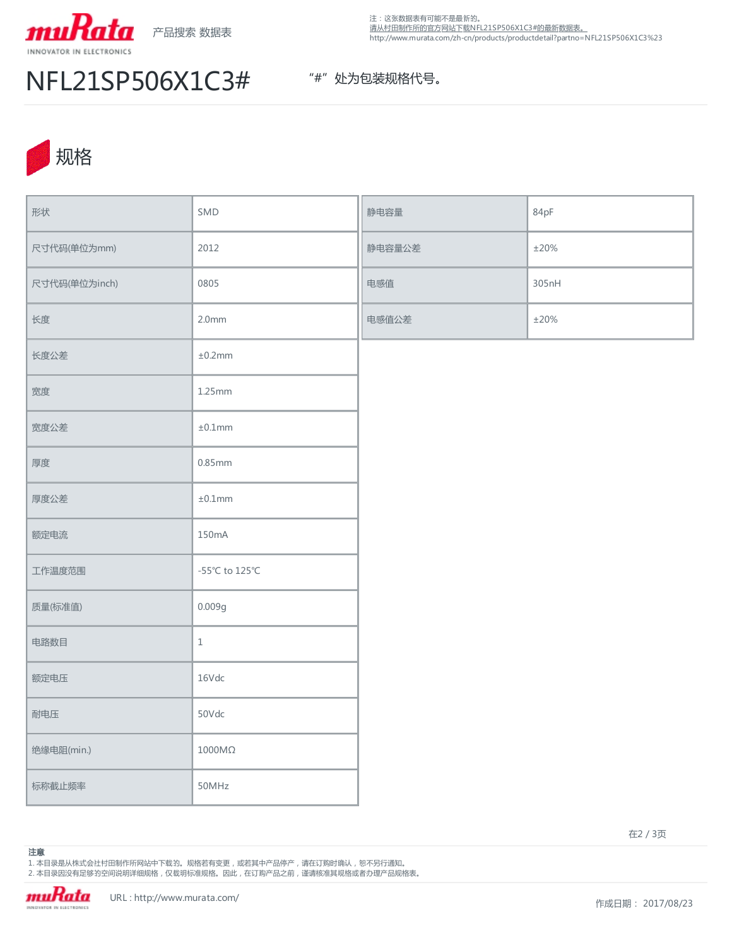

注:这张数据表有可能不是最新的。 [请从村田制作所的官方网站下载NFL21SP506X1C3#的最新数据表。](http://www.murata.com/zh-cn/products/productdetail?partno=NFL21SP506X1C3%23) http://www.murata.com/zh-cn/products/productdetail?partno=NFL21SP506X1C3%23

# NFL21SP506X1C3# "#" 处为包装规格代号。



| 形状            | SMD                  | 静电容量   | 84pF       |
|---------------|----------------------|--------|------------|
| 尺寸代码(单位为mm)   | 2012                 | 静电容量公差 | $\pm 20\%$ |
| 尺寸代码(单位为inch) | 0805                 | 电感值    | 305nH      |
| 长度            | 2.0 <sub>mm</sub>    | 电感值公差  | $\pm 20\%$ |
| 长度公差          | ±0.2mm               |        |            |
| 宽度            | 1.25mm               |        |            |
| 宽度公差          | $\pm 0.1$ mm         |        |            |
| 厚度            | 0.85mm               |        |            |
| 厚度公差          | $\pm 0.1mm$          |        |            |
| 额定电流          | 150mA                |        |            |
| 工作温度范围        | -55°C to 125°C       |        |            |
| 质量(标准值)       | 0.009g               |        |            |
| 电路数目          | $\mathbf 1$          |        |            |
| 额定电压          | 16Vdc                |        |            |
| 耐电压           | 50Vdc                |        |            |
| 绝缘电阻(min.)    | $1000\text{M}\Omega$ |        |            |
| 标称截止频率        | 50MHz                |        |            |

在2 / 3页

1. 本目录是从株式会社村田制作所网站中下载的。规格若有变更,或若其中产品停产,请在订购时确认,恕不另行通知。 2. 本目录因没有足够的空间说明详细规格 , 仅载明标准规格。因此 , 在订购产品之前 , 谨请核准其规格或者办理产品规格表。

muRata INNOVATOR IN ELECTRONICS

注意